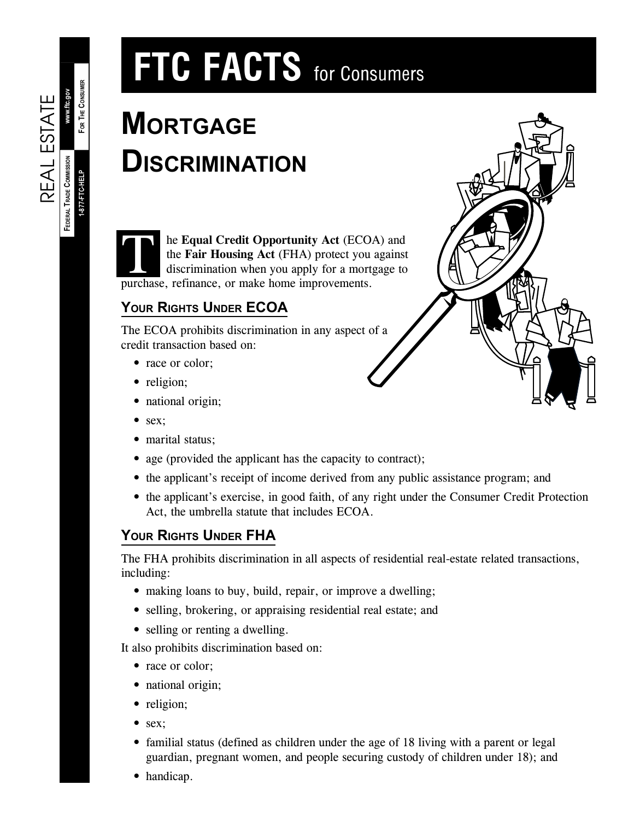# **FTC FACTS** for Consumers

## **MORTGAGE DISCRIMINATION**

**The Equal Credit Opportunity Act** (ECOA) and<br>the **Fair Housing Act** (FHA) protect you against<br>discrimination when you apply for a mortgage to the **Fair Housing Act** (FHA) protect you against discrimination when you apply for a mortgage to purchase, refinance, or make home improvements.

### **YOUR RIGHTS UNDER ECOA**

The ECOA prohibits discrimination in any aspect of a credit transaction based on:

- race or color:
- religion;
- national origin;
- sex;

**FOR THE CONSUMER**

**FOR THE CONSUMER** 

**www.ftc.gov**

REAL ESTATE

REAL ESTATE

**1-877-FTC-HELP**

**FEDERAL TRADE COMMISSION**

FEDERAL TRADE COMMISSION 1-877-FTC-HELP

- marital status;
- age (provided the applicant has the capacity to contract);
- the applicant's receipt of income derived from any public assistance program; and
- the applicant's exercise, in good faith, of any right under the Consumer Credit Protection Act, the umbrella statute that includes ECOA.

#### **YOUR RIGHTS UNDER FHA**

The FHA prohibits discrimination in all aspects of residential real-estate related transactions, including:

- making loans to buy, build, repair, or improve a dwelling;
- selling, brokering, or appraising residential real estate; and
- selling or renting a dwelling.

It also prohibits discrimination based on:

- race or color;
- national origin;
- religion;
- sex;
- familial status (defined as children under the age of 18 living with a parent or legal guardian, pregnant women, and people securing custody of children under 18); and
- handicap.

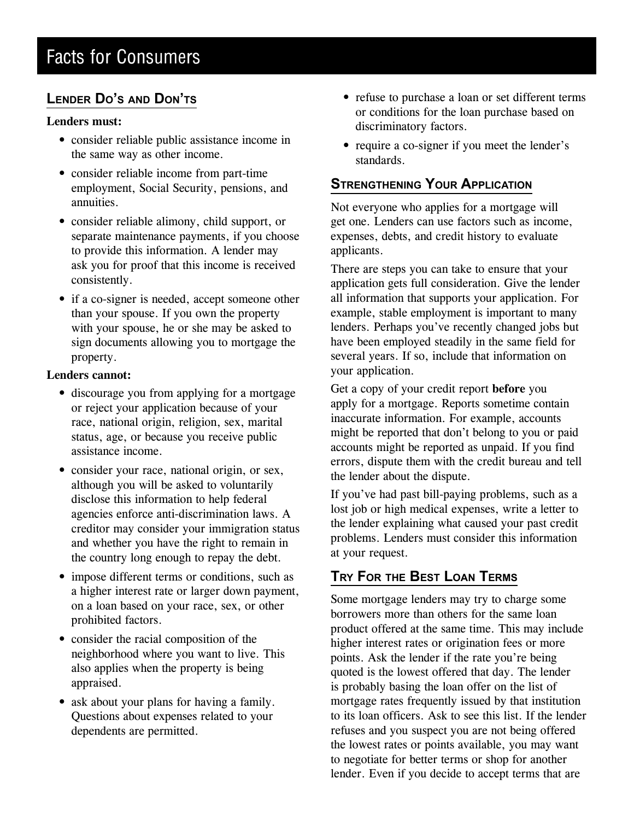## Facts for Consumers

#### **LENDER DO'S AND DON'TS**

#### **Lenders must:**

- consider reliable public assistance income in the same way as other income.
- consider reliable income from part-time employment, Social Security, pensions, and annuities.
- consider reliable alimony, child support, or separate maintenance payments, if you choose to provide this information. A lender may ask you for proof that this income is received consistently.
- if a co-signer is needed, accept someone other than your spouse. If you own the property with your spouse, he or she may be asked to sign documents allowing you to mortgage the property.

#### **Lenders cannot:**

- discourage you from applying for a mortgage or reject your application because of your race, national origin, religion, sex, marital status, age, or because you receive public assistance income.
- consider your race, national origin, or sex, although you will be asked to voluntarily disclose this information to help federal agencies enforce anti-discrimination laws. A creditor may consider your immigration status and whether you have the right to remain in the country long enough to repay the debt.
- impose different terms or conditions, such as a higher interest rate or larger down payment, on a loan based on your race, sex, or other prohibited factors.
- consider the racial composition of the neighborhood where you want to live. This also applies when the property is being appraised.
- ask about your plans for having a family. Questions about expenses related to your dependents are permitted.
- refuse to purchase a loan or set different terms or conditions for the loan purchase based on discriminatory factors.
- require a co-signer if you meet the lender's standards.

#### **STRENGTHENING YOUR APPLICATION**

Not everyone who applies for a mortgage will get one. Lenders can use factors such as income, expenses, debts, and credit history to evaluate applicants.

There are steps you can take to ensure that your application gets full consideration. Give the lender all information that supports your application. For example, stable employment is important to many lenders. Perhaps you've recently changed jobs but have been employed steadily in the same field for several years. If so, include that information on your application.

Get a copy of your credit report **before** you apply for a mortgage. Reports sometime contain inaccurate information. For example, accounts might be reported that don't belong to you or paid accounts might be reported as unpaid. If you find errors, dispute them with the credit bureau and tell the lender about the dispute.

If you've had past bill-paying problems, such as a lost job or high medical expenses, write a letter to the lender explaining what caused your past credit problems. Lenders must consider this information at your request.

#### **TRY FOR THE BEST LOAN TERMS**

Some mortgage lenders may try to charge some borrowers more than others for the same loan product offered at the same time. This may include higher interest rates or origination fees or more points. Ask the lender if the rate you're being quoted is the lowest offered that day. The lender is probably basing the loan offer on the list of mortgage rates frequently issued by that institution to its loan officers. Ask to see this list. If the lender refuses and you suspect you are not being offered the lowest rates or points available, you may want to negotiate for better terms or shop for another lender. Even if you decide to accept terms that are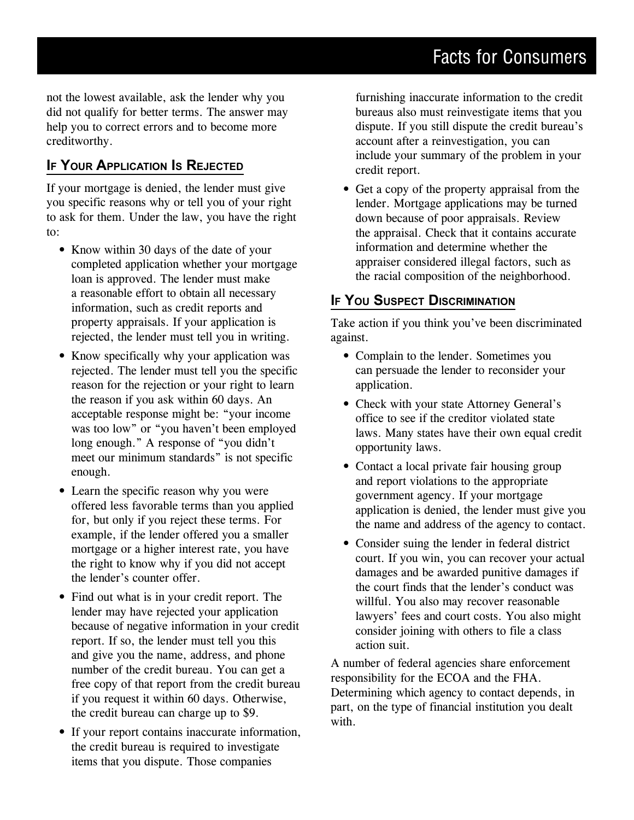not the lowest available, ask the lender why you did not qualify for better terms. The answer may help you to correct errors and to become more creditworthy.

#### **IF YOUR APPLICATION IS REJECTED**

If your mortgage is denied, the lender must give you specific reasons why or tell you of your right to ask for them. Under the law, you have the right to:

- Know within 30 days of the date of your completed application whether your mortgage loan is approved. The lender must make a reasonable effort to obtain all necessary information, such as credit reports and property appraisals. If your application is rejected, the lender must tell you in writing.
- Know specifically why your application was rejected. The lender must tell you the specific reason for the rejection or your right to learn the reason if you ask within 60 days. An acceptable response might be: "your income was too low" or "you haven't been employed long enough." A response of "you didn't meet our minimum standards" is not specific enough.
- Learn the specific reason why you were offered less favorable terms than you applied for, but only if you reject these terms. For example, if the lender offered you a smaller mortgage or a higher interest rate, you have the right to know why if you did not accept the lender's counter offer.
- Find out what is in your credit report. The lender may have rejected your application because of negative information in your credit report. If so, the lender must tell you this and give you the name, address, and phone number of the credit bureau. You can get a free copy of that report from the credit bureau if you request it within 60 days. Otherwise, the credit bureau can charge up to \$9.
- If your report contains inaccurate information, the credit bureau is required to investigate items that you dispute. Those companies

furnishing inaccurate information to the credit bureaus also must reinvestigate items that you dispute. If you still dispute the credit bureau's account after a reinvestigation, you can include your summary of the problem in your credit report.

• Get a copy of the property appraisal from the lender. Mortgage applications may be turned down because of poor appraisals. Review the appraisal. Check that it contains accurate information and determine whether the appraiser considered illegal factors, such as the racial composition of the neighborhood.

#### **IF YOU SUSPECT DISCRIMINATION**

Take action if you think you've been discriminated against.

- Complain to the lender. Sometimes you can persuade the lender to reconsider your application.
- Check with your state Attorney General's office to see if the creditor violated state laws. Many states have their own equal credit opportunity laws.
- Contact a local private fair housing group and report violations to the appropriate government agency. If your mortgage application is denied, the lender must give you the name and address of the agency to contact.
- Consider suing the lender in federal district court. If you win, you can recover your actual damages and be awarded punitive damages if the court finds that the lender's conduct was willful. You also may recover reasonable lawyers' fees and court costs. You also might consider joining with others to file a class action suit.

A number of federal agencies share enforcement responsibility for the ECOA and the FHA. Determining which agency to contact depends, in part, on the type of financial institution you dealt with.